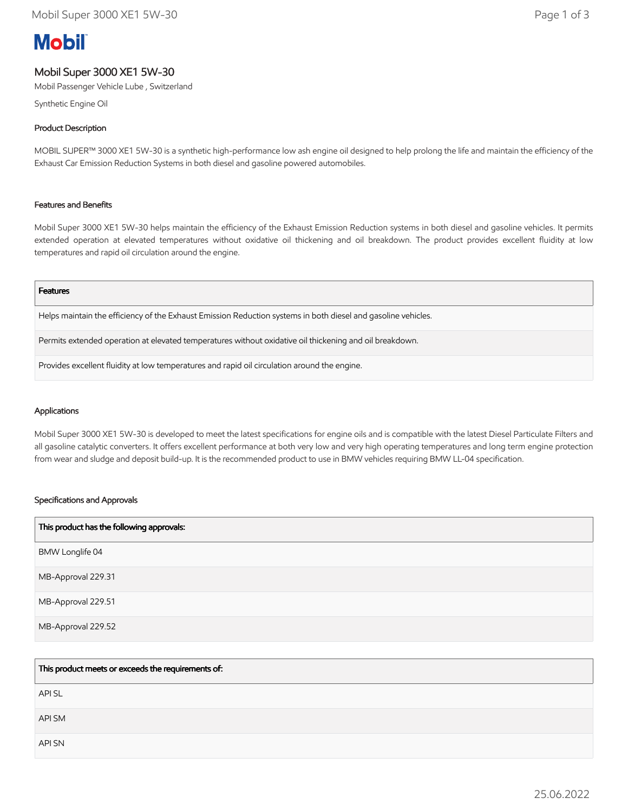# **Mobil**

# Mobil Super 3000 XE1 5W-30

Mobil Passenger Vehicle Lube , Switzerland

Synthetic Engine Oil

# Product Description

MOBIL SUPER™ 3000 XE1 5W-30 is a synthetic high-performance low ash engine oil designed to help prolong the life and maintain the efficiency of the Exhaust Car Emission Reduction Systems in both diesel and gasoline powered automobiles.

## Features and Benefits

Mobil Super 3000 XE1 5W-30 helps maintain the efficiency of the Exhaust Emission Reduction systems in both diesel and gasoline vehicles. It permits extended operation at elevated temperatures without oxidative oil thickening and oil breakdown. The product provides excellent fluidity at low temperatures and rapid oil circulation around the engine.

#### Features

Helps maintain the efficiency of the Exhaust Emission Reduction systems in both diesel and gasoline vehicles.

Permits extended operation at elevated temperatures without oxidative oil thickening and oil breakdown.

Provides excellent fluidity at low temperatures and rapid oil circulation around the engine.

#### Applications

Mobil Super 3000 XE1 5W-30 is developed to meet the latest specifications for engine oils and is compatible with the latest Diesel Particulate Filters and all gasoline catalytic converters. It offers excellent performance at both very low and very high operating temperatures and long term engine protection from wear and sludge and deposit build-up. It is the recommended product to use in BMW vehicles requiring BMW LL-04 specification.

#### Specifications and Approvals

| This product has the following approvals: |
|-------------------------------------------|
| BMW Longlife 04                           |
| MB-Approval 229.31                        |
| MB-Approval 229.51                        |
| MB-Approval 229.52                        |

| This product meets or exceeds the requirements of: |
|----------------------------------------------------|
| <b>APISL</b>                                       |
| API SM                                             |
| <b>API SN</b>                                      |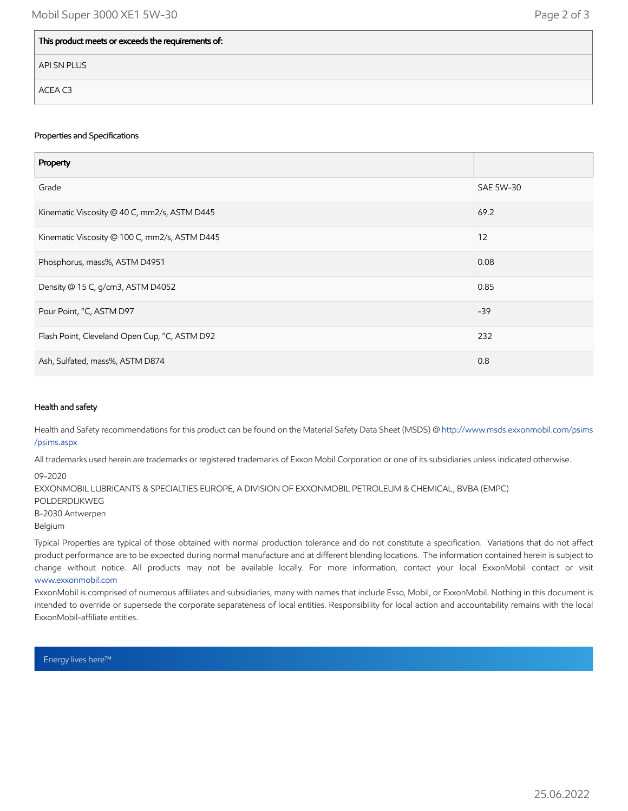| This product meets or exceeds the requirements of: |  |
|----------------------------------------------------|--|
| API SN PLUS                                        |  |
| ACEA C3                                            |  |

#### Properties and Specifications

| Property                                      |           |
|-----------------------------------------------|-----------|
| Grade                                         | SAE 5W-30 |
| Kinematic Viscosity @ 40 C, mm2/s, ASTM D445  | 69.2      |
| Kinematic Viscosity @ 100 C, mm2/s, ASTM D445 | 12        |
| Phosphorus, mass%, ASTM D4951                 | 0.08      |
| Density @ 15 C, g/cm3, ASTM D4052             | 0.85      |
| Pour Point, °C, ASTM D97                      | $-39$     |
| Flash Point, Cleveland Open Cup, °C, ASTM D92 | 232       |
| Ash, Sulfated, mass%, ASTM D874               | 0.8       |

### Health and safety

Health and Safety recommendations for this product can be found on the Material Safety Data Sheet (MSDS) @ [http://www.msds.exxonmobil.com/psims](http://www.msds.exxonmobil.com/psims/psims.aspx) /psims.aspx

All trademarks used herein are trademarks or registered trademarks of Exxon Mobil Corporation or one of its subsidiaries unless indicated otherwise.

09-2020

EXXONMOBIL LUBRICANTS & SPECIALTIES EUROPE, A DIVISION OF EXXONMOBIL PETROLEUM & CHEMICAL, BVBA (EMPC) POLDERDIJKWEG B-2030 Antwerpen Belgium

Typical Properties are typical of those obtained with normal production tolerance and do not constitute a specification. Variations that do not affect product performance are to be expected during normal manufacture and at different blending locations. The information contained herein is subject to change without notice. All products may not be available locally. For more information, contact your local ExxonMobil contact or visit [www.exxonmobil.com](http://www.exxonmobil.com/)

ExxonMobil is comprised of numerous affiliates and subsidiaries, many with names that include Esso, Mobil, or ExxonMobil. Nothing in this document is intended to override or supersede the corporate separateness of local entities. Responsibility for local action and accountability remains with the local ExxonMobil-affiliate entities.

Energy lives here™